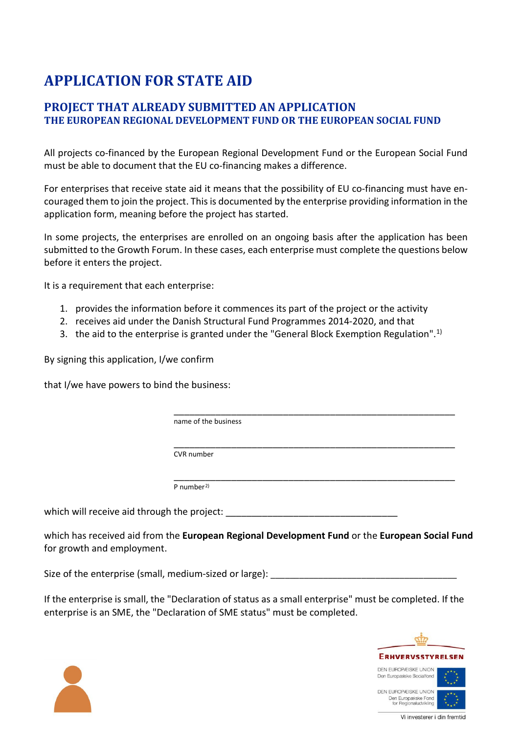## **APPLICATION FOR STATE AID**

## **PROJECT THAT ALREADY SUBMITTED AN APPLICATION THE EUROPEAN REGIONAL DEVELOPMENT FUND OR THE EUROPEAN SOCIAL FUND**

All projects co-financed by the European Regional Development Fund or the European Social Fund must be able to document that the EU co-financing makes a difference.

For enterprises that receive state aid it means that the possibility of EU co-financing must have encouraged them to join the project. This is documented by the enterprise providing information in the application form, meaning before the project has started.

In some projects, the enterprises are enrolled on an ongoing basis after the application has been submitted to the Growth Forum. In these cases, each enterprise must complete the questions below before it enters the project.

It is a requirement that each enterprise:

- 1. provides the information before it commences its part of the project or the activity
- 2. receives aid under the Danish Structural Fund Programmes 2014-2020, and that
- 3. the aid to the enterprise is granted under the "General Block Exemption Regulation".<sup>[1\)](#page-2-0)</sup>

By signing this application, I/we confirm

that I/we have powers to bind the business:

\_\_\_\_\_\_\_\_\_\_\_\_\_\_\_\_\_\_\_\_\_\_\_\_\_\_\_\_\_\_\_\_\_\_\_\_\_\_\_\_\_\_\_\_\_\_\_\_\_\_\_\_\_\_ name of the business

\_\_\_\_\_\_\_\_\_\_\_\_\_\_\_\_\_\_\_\_\_\_\_\_\_\_\_\_\_\_\_\_\_\_\_\_\_\_\_\_\_\_\_\_\_\_\_\_\_\_\_\_\_\_ CVR number

\_\_\_\_\_\_\_\_\_\_\_\_\_\_\_\_\_\_\_\_\_\_\_\_\_\_\_\_\_\_\_\_\_\_\_\_\_\_\_\_\_\_\_\_\_\_\_\_\_\_\_\_\_\_ P number[2\)](#page-2-1)

which will receive aid through the project:

which has received aid from the **European Regional Development Fund** or the **European Social Fund** for growth and employment.

Size of the enterprise (small, medium-sized or large):

If the enterprise is small, the "Declaration of status as a small enterprise" must be completed. If the enterprise is an SME, the "Declaration of SME status" must be completed.



Vi investerer i din fremtic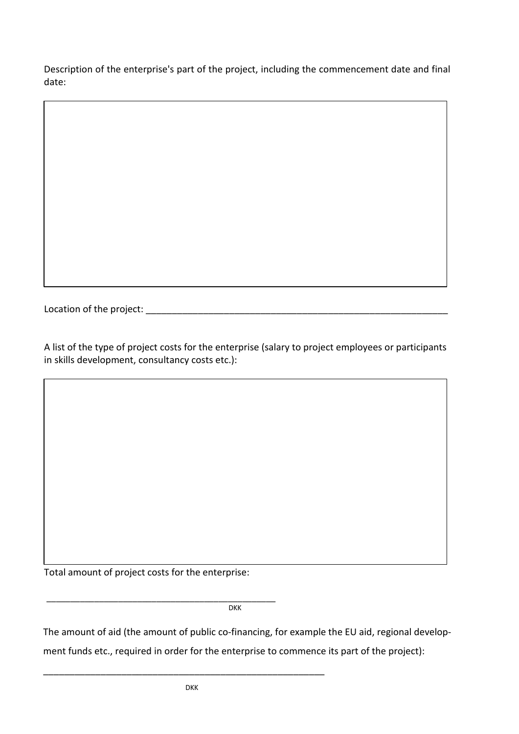Description of the enterprise's part of the project, including the commencement date and final date:

Location of the project: \_\_\_\_\_\_\_\_\_\_\_\_\_\_\_\_\_\_\_\_\_\_\_\_\_\_\_\_\_\_\_\_\_\_\_\_\_\_\_\_\_\_\_\_\_\_\_\_\_\_\_\_\_\_\_\_\_\_

A list of the type of project costs for the enterprise (salary to project employees or participants in skills development, consultancy costs etc.):

Total amount of project costs for the enterprise:

\_\_\_\_\_\_\_\_\_\_\_\_\_\_\_\_\_\_\_\_\_\_\_\_\_\_\_\_\_\_\_\_\_\_\_\_\_\_\_\_\_\_\_\_\_\_\_\_ **DKK** 

The amount of aid (the amount of public co-financing, for example the EU aid, regional develop-

ment funds etc., required in order for the enterprise to commence its part of the project):

\_\_\_\_\_\_\_\_\_\_\_\_\_\_\_\_\_\_\_\_\_\_\_\_\_\_\_\_\_\_\_\_\_\_\_\_\_\_\_\_\_\_\_\_\_\_\_\_\_\_\_\_\_\_